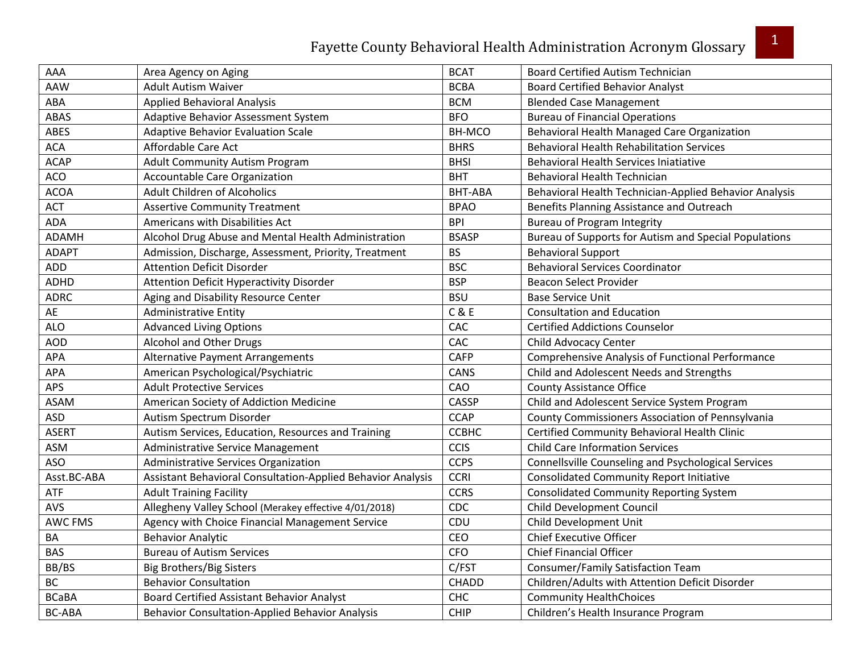| AAA            | Area Agency on Aging                                        | <b>BCAT</b>   | <b>Board Certified Autism Technician</b>               |
|----------------|-------------------------------------------------------------|---------------|--------------------------------------------------------|
| AAW            | <b>Adult Autism Waiver</b>                                  | <b>BCBA</b>   | <b>Board Certified Behavior Analyst</b>                |
| ABA            | <b>Applied Behavioral Analysis</b>                          | <b>BCM</b>    | <b>Blended Case Management</b>                         |
| ABAS           | Adaptive Behavior Assessment System                         | <b>BFO</b>    | <b>Bureau of Financial Operations</b>                  |
| ABES           | <b>Adaptive Behavior Evaluation Scale</b>                   | <b>BH-MCO</b> | Behavioral Health Managed Care Organization            |
| <b>ACA</b>     | Affordable Care Act                                         | <b>BHRS</b>   | <b>Behavioral Health Rehabilitation Services</b>       |
| <b>ACAP</b>    | <b>Adult Community Autism Program</b>                       | <b>BHSI</b>   | <b>Behavioral Health Services Iniatiative</b>          |
| ACO            | Accountable Care Organization                               | <b>BHT</b>    | Behavioral Health Technician                           |
| <b>ACOA</b>    | Adult Children of Alcoholics                                | BHT-ABA       | Behavioral Health Technician-Applied Behavior Analysis |
| <b>ACT</b>     | <b>Assertive Community Treatment</b>                        | <b>BPAO</b>   | Benefits Planning Assistance and Outreach              |
| <b>ADA</b>     | Americans with Disabilities Act                             | <b>BPI</b>    | <b>Bureau of Program Integrity</b>                     |
| <b>ADAMH</b>   | Alcohol Drug Abuse and Mental Health Administration         | <b>BSASP</b>  | Bureau of Supports for Autism and Special Populations  |
| <b>ADAPT</b>   | Admission, Discharge, Assessment, Priority, Treatment       | <b>BS</b>     | <b>Behavioral Support</b>                              |
| ADD            | <b>Attention Deficit Disorder</b>                           | <b>BSC</b>    | <b>Behavioral Services Coordinator</b>                 |
| ADHD           | Attention Deficit Hyperactivity Disorder                    | <b>BSP</b>    | <b>Beacon Select Provider</b>                          |
| <b>ADRC</b>    | Aging and Disability Resource Center                        | <b>BSU</b>    | <b>Base Service Unit</b>                               |
| AE             | <b>Administrative Entity</b>                                | C & E         | <b>Consultation and Education</b>                      |
| <b>ALO</b>     | <b>Advanced Living Options</b>                              | CAC           | <b>Certified Addictions Counselor</b>                  |
| <b>AOD</b>     | Alcohol and Other Drugs                                     | CAC           | Child Advocacy Center                                  |
| <b>APA</b>     | <b>Alternative Payment Arrangements</b>                     | <b>CAFP</b>   | Comprehensive Analysis of Functional Performance       |
| <b>APA</b>     | American Psychological/Psychiatric                          | CANS          | Child and Adolescent Needs and Strengths               |
| APS            | <b>Adult Protective Services</b>                            | CAO           | <b>County Assistance Office</b>                        |
| ASAM           | American Society of Addiction Medicine                      | CASSP         | Child and Adolescent Service System Program            |
| <b>ASD</b>     | Autism Spectrum Disorder                                    | <b>CCAP</b>   | County Commissioners Association of Pennsylvania       |
| <b>ASERT</b>   | Autism Services, Education, Resources and Training          | ССВНС         | Certified Community Behavioral Health Clinic           |
| ASM            | Administrative Service Management                           | <b>CCIS</b>   | <b>Child Care Information Services</b>                 |
| <b>ASO</b>     | Administrative Services Organization                        | <b>CCPS</b>   | Connellsville Counseling and Psychological Services    |
| Asst.BC-ABA    | Assistant Behavioral Consultation-Applied Behavior Analysis | <b>CCRI</b>   | <b>Consolidated Community Report Initiative</b>        |
| <b>ATF</b>     | <b>Adult Training Facility</b>                              | <b>CCRS</b>   | <b>Consolidated Community Reporting System</b>         |
| AVS            | Allegheny Valley School (Merakey effective 4/01/2018)       | CDC           | <b>Child Development Council</b>                       |
| <b>AWC FMS</b> | Agency with Choice Financial Management Service             | CDU           | Child Development Unit                                 |
| BA             | <b>Behavior Analytic</b>                                    | CEO           | <b>Chief Executive Officer</b>                         |
| <b>BAS</b>     | <b>Bureau of Autism Services</b>                            | <b>CFO</b>    | <b>Chief Financial Officer</b>                         |
| BB/BS          | <b>Big Brothers/Big Sisters</b>                             | C/FST         | Consumer/Family Satisfaction Team                      |
| <b>BC</b>      | <b>Behavior Consultation</b>                                | CHADD         | Children/Adults with Attention Deficit Disorder        |
| <b>BCaBA</b>   | Board Certified Assistant Behavior Analyst                  | <b>CHC</b>    | <b>Community HealthChoices</b>                         |
| <b>BC-ABA</b>  | <b>Behavior Consultation-Applied Behavior Analysis</b>      | <b>CHIP</b>   | Children's Health Insurance Program                    |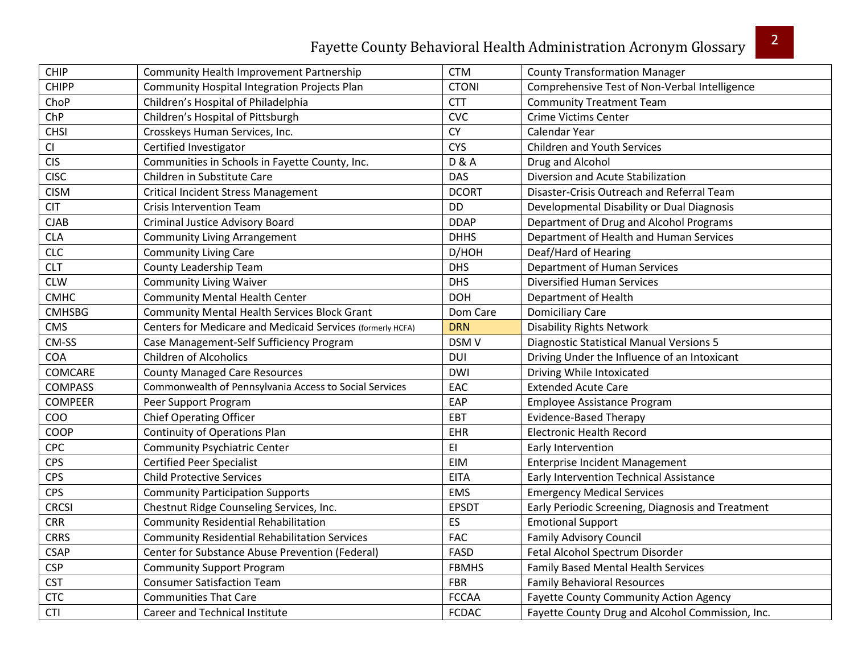| CHIP           | Community Health Improvement Partnership                   | <b>CTM</b>             | <b>County Transformation Manager</b>              |
|----------------|------------------------------------------------------------|------------------------|---------------------------------------------------|
| <b>CHIPP</b>   | Community Hospital Integration Projects Plan               | <b>CTONI</b>           | Comprehensive Test of Non-Verbal Intelligence     |
| ChoP           | Children's Hospital of Philadelphia                        | <b>CTT</b>             | <b>Community Treatment Team</b>                   |
| ChP            | Children's Hospital of Pittsburgh                          | <b>CVC</b>             | <b>Crime Victims Center</b>                       |
| <b>CHSI</b>    | Crosskeys Human Services, Inc.                             | <b>CY</b>              | Calendar Year                                     |
| CI             | Certified Investigator                                     | <b>CYS</b>             | <b>Children and Youth Services</b>                |
| <b>CIS</b>     | Communities in Schools in Fayette County, Inc.             | <b>D &amp; A</b>       | Drug and Alcohol                                  |
| <b>CISC</b>    | Children in Substitute Care                                | <b>DAS</b>             | Diversion and Acute Stabilization                 |
| <b>CISM</b>    | <b>Critical Incident Stress Management</b>                 | <b>DCORT</b>           | Disaster-Crisis Outreach and Referral Team        |
| <b>CIT</b>     | <b>Crisis Intervention Team</b>                            | <b>DD</b>              | Developmental Disability or Dual Diagnosis        |
| CJAB           | <b>Criminal Justice Advisory Board</b>                     | <b>DDAP</b>            | Department of Drug and Alcohol Programs           |
| <b>CLA</b>     | <b>Community Living Arrangement</b>                        | <b>DHHS</b>            | Department of Health and Human Services           |
| <b>CLC</b>     | <b>Community Living Care</b>                               | D/HOH                  | Deaf/Hard of Hearing                              |
| <b>CLT</b>     | County Leadership Team                                     | <b>DHS</b>             | Department of Human Services                      |
| <b>CLW</b>     | <b>Community Living Waiver</b>                             | <b>DHS</b>             | <b>Diversified Human Services</b>                 |
| <b>CMHC</b>    | <b>Community Mental Health Center</b>                      | <b>DOH</b>             | Department of Health                              |
| <b>CMHSBG</b>  | <b>Community Mental Health Services Block Grant</b>        | Dom Care               | <b>Domiciliary Care</b>                           |
| <b>CMS</b>     | Centers for Medicare and Medicaid Services (formerly HCFA) | <b>DRN</b>             | <b>Disability Rights Network</b>                  |
| CM-SS          | Case Management-Self Sufficiency Program                   | DSM <sub>V</sub>       | <b>Diagnostic Statistical Manual Versions 5</b>   |
| <b>COA</b>     | <b>Children of Alcoholics</b>                              | <b>DUI</b>             | Driving Under the Influence of an Intoxicant      |
| COMCARE        | <b>County Managed Care Resources</b>                       | <b>DWI</b>             | Driving While Intoxicated                         |
| <b>COMPASS</b> | Commonwealth of Pennsylvania Access to Social Services     | EAC                    | <b>Extended Acute Care</b>                        |
| <b>COMPEER</b> | Peer Support Program                                       | EAP                    | Employee Assistance Program                       |
| COO            | <b>Chief Operating Officer</b>                             | EBT                    | <b>Evidence-Based Therapy</b>                     |
| COOP           | <b>Continuity of Operations Plan</b>                       | EHR                    | <b>Electronic Health Record</b>                   |
| CPC            | <b>Community Psychiatric Center</b>                        | $\mathsf{E}\mathsf{I}$ | Early Intervention                                |
| <b>CPS</b>     | <b>Certified Peer Specialist</b>                           | EIM                    | <b>Enterprise Incident Management</b>             |
| <b>CPS</b>     | <b>Child Protective Services</b>                           | <b>EITA</b>            | Early Intervention Technical Assistance           |
| <b>CPS</b>     | <b>Community Participation Supports</b>                    | <b>EMS</b>             | <b>Emergency Medical Services</b>                 |
| <b>CRCSI</b>   | Chestnut Ridge Counseling Services, Inc.                   | <b>EPSDT</b>           | Early Periodic Screening, Diagnosis and Treatment |
| <b>CRR</b>     | <b>Community Residential Rehabilitation</b>                | ES                     | <b>Emotional Support</b>                          |
| <b>CRRS</b>    | <b>Community Residential Rehabilitation Services</b>       | <b>FAC</b>             | <b>Family Advisory Council</b>                    |
| <b>CSAP</b>    | Center for Substance Abuse Prevention (Federal)            | FASD                   | Fetal Alcohol Spectrum Disorder                   |
| <b>CSP</b>     | <b>Community Support Program</b>                           | <b>FBMHS</b>           | <b>Family Based Mental Health Services</b>        |
| <b>CST</b>     | <b>Consumer Satisfaction Team</b>                          | FBR                    | <b>Family Behavioral Resources</b>                |
| <b>CTC</b>     | <b>Communities That Care</b>                               | <b>FCCAA</b>           | <b>Fayette County Community Action Agency</b>     |
| <b>CTI</b>     | Career and Technical Institute                             | <b>FCDAC</b>           | Fayette County Drug and Alcohol Commission, Inc.  |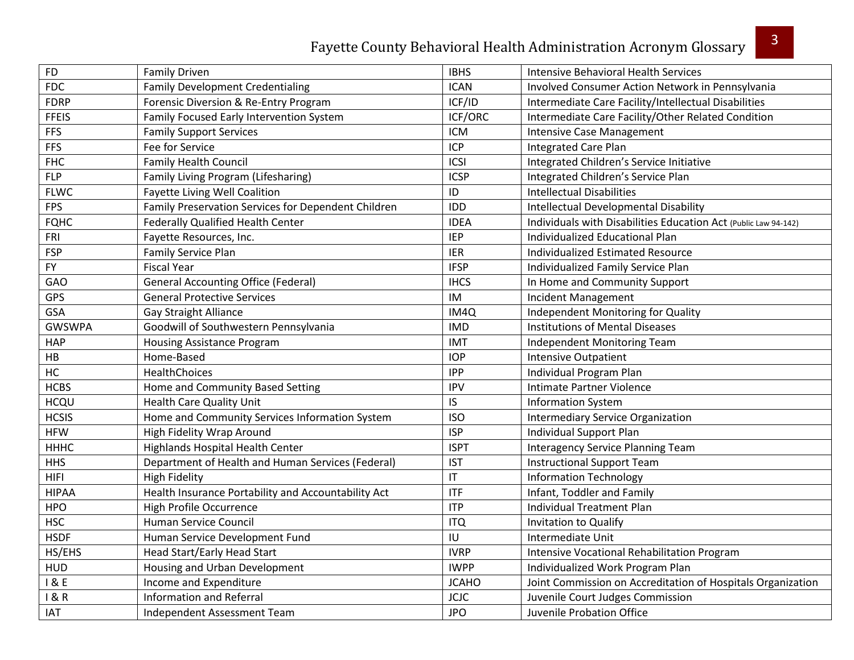| <b>FD</b>     | <b>Family Driven</b>                                | <b>IBHS</b>            | <b>Intensive Behavioral Health Services</b>                     |
|---------------|-----------------------------------------------------|------------------------|-----------------------------------------------------------------|
| <b>FDC</b>    | <b>Family Development Credentialing</b>             | <b>ICAN</b>            | Involved Consumer Action Network in Pennsylvania                |
| <b>FDRP</b>   | Forensic Diversion & Re-Entry Program               | ICF/ID                 | Intermediate Care Facility/Intellectual Disabilities            |
| <b>FFEIS</b>  | Family Focused Early Intervention System            | ICF/ORC                | Intermediate Care Facility/Other Related Condition              |
| <b>FFS</b>    | <b>Family Support Services</b>                      | <b>ICM</b>             | <b>Intensive Case Management</b>                                |
| <b>FFS</b>    | Fee for Service                                     | ICP                    | <b>Integrated Care Plan</b>                                     |
| <b>FHC</b>    | <b>Family Health Council</b>                        | ICSI                   | Integrated Children's Service Initiative                        |
| <b>FLP</b>    | Family Living Program (Lifesharing)                 | <b>ICSP</b>            | Integrated Children's Service Plan                              |
| <b>FLWC</b>   | <b>Fayette Living Well Coalition</b>                | ID                     | <b>Intellectual Disabilities</b>                                |
| <b>FPS</b>    | Family Preservation Services for Dependent Children | <b>IDD</b>             | Intellectual Developmental Disability                           |
| <b>FQHC</b>   | Federally Qualified Health Center                   | <b>IDEA</b>            | Individuals with Disabilities Education Act (Public Law 94-142) |
| FRI           | Fayette Resources, Inc.                             | <b>IEP</b>             | Individualized Educational Plan                                 |
| <b>FSP</b>    | Family Service Plan                                 | <b>IER</b>             | Individualized Estimated Resource                               |
| <b>FY</b>     | <b>Fiscal Year</b>                                  | <b>IFSP</b>            | Individualized Family Service Plan                              |
| GAO           | <b>General Accounting Office (Federal)</b>          | <b>IHCS</b>            | In Home and Community Support                                   |
| GPS           | <b>General Protective Services</b>                  | IM                     | <b>Incident Management</b>                                      |
| GSA           | <b>Gay Straight Alliance</b>                        | IM4Q                   | Independent Monitoring for Quality                              |
| <b>GWSWPA</b> | Goodwill of Southwestern Pennsylvania               | <b>IMD</b>             | <b>Institutions of Mental Diseases</b>                          |
| <b>HAP</b>    | <b>Housing Assistance Program</b>                   | <b>IMT</b>             | Independent Monitoring Team                                     |
| HB            | Home-Based                                          | <b>IOP</b>             | <b>Intensive Outpatient</b>                                     |
| HC            | HealthChoices                                       | <b>IPP</b>             | Individual Program Plan                                         |
| <b>HCBS</b>   | Home and Community Based Setting                    | <b>IPV</b>             | Intimate Partner Violence                                       |
| HCQU          | <b>Health Care Quality Unit</b>                     | IS                     | <b>Information System</b>                                       |
| <b>HCSIS</b>  | Home and Community Services Information System      | <b>ISO</b>             | <b>Intermediary Service Organization</b>                        |
| <b>HFW</b>    | High Fidelity Wrap Around                           | <b>ISP</b>             | Individual Support Plan                                         |
| <b>HHHC</b>   | Highlands Hospital Health Center                    | <b>ISPT</b>            | Interagency Service Planning Team                               |
| <b>HHS</b>    | Department of Health and Human Services (Federal)   | <b>IST</b>             | <b>Instructional Support Team</b>                               |
| <b>HIFI</b>   | <b>High Fidelity</b>                                | $\mathsf{I}\mathsf{T}$ | <b>Information Technology</b>                                   |
| <b>HIPAA</b>  | Health Insurance Portability and Accountability Act | <b>ITF</b>             | Infant, Toddler and Family                                      |
| <b>HPO</b>    | High Profile Occurrence                             | <b>ITP</b>             | <b>Individual Treatment Plan</b>                                |
| <b>HSC</b>    | <b>Human Service Council</b>                        | <b>ITQ</b>             | Invitation to Qualify                                           |
| <b>HSDF</b>   | Human Service Development Fund                      | IU                     | Intermediate Unit                                               |
| HS/EHS        | Head Start/Early Head Start                         | <b>IVRP</b>            | Intensive Vocational Rehabilitation Program                     |
| <b>HUD</b>    | Housing and Urban Development                       | <b>IWPP</b>            | Individualized Work Program Plan                                |
| 18E           | Income and Expenditure                              | <b>JCAHO</b>           | Joint Commission on Accreditation of Hospitals Organization     |
| 1&8R          | <b>Information and Referral</b>                     | <b>JCJC</b>            | Juvenile Court Judges Commission                                |
| <b>IAT</b>    | Independent Assessment Team                         | <b>JPO</b>             | Juvenile Probation Office                                       |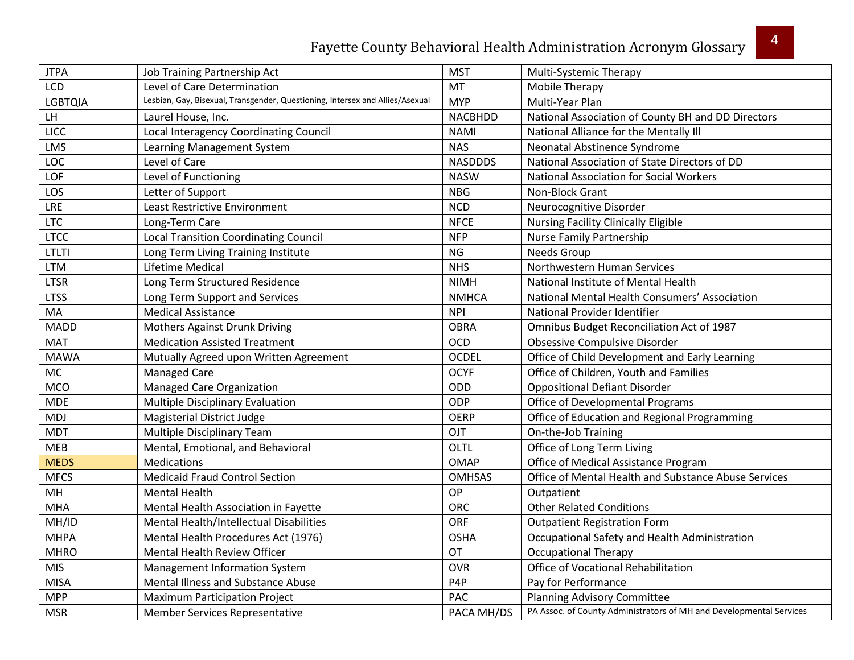| <b>JTPA</b>    | Job Training Partnership Act                                                  | <b>MST</b>       | Multi-Systemic Therapy                                              |
|----------------|-------------------------------------------------------------------------------|------------------|---------------------------------------------------------------------|
| LCD            | Level of Care Determination                                                   | MT               | Mobile Therapy                                                      |
| <b>LGBTQIA</b> | Lesbian, Gay, Bisexual, Transgender, Questioning, Intersex and Allies/Asexual | <b>MYP</b>       | Multi-Year Plan                                                     |
| LH             | Laurel House, Inc.                                                            | <b>NACBHDD</b>   | National Association of County BH and DD Directors                  |
| LICC           | Local Interagency Coordinating Council                                        | <b>NAMI</b>      | National Alliance for the Mentally III                              |
| <b>LMS</b>     | Learning Management System                                                    | <b>NAS</b>       | Neonatal Abstinence Syndrome                                        |
| LOC            | Level of Care                                                                 | <b>NASDDDS</b>   | National Association of State Directors of DD                       |
| LOF            | Level of Functioning                                                          | <b>NASW</b>      | <b>National Association for Social Workers</b>                      |
| LOS            | Letter of Support                                                             | <b>NBG</b>       | Non-Block Grant                                                     |
| LRE            | Least Restrictive Environment                                                 | <b>NCD</b>       | Neurocognitive Disorder                                             |
| <b>LTC</b>     | Long-Term Care                                                                | <b>NFCE</b>      | <b>Nursing Facility Clinically Eligible</b>                         |
| <b>LTCC</b>    | <b>Local Transition Coordinating Council</b>                                  | <b>NFP</b>       | <b>Nurse Family Partnership</b>                                     |
| LTLTI          | Long Term Living Training Institute                                           | <b>NG</b>        | Needs Group                                                         |
| <b>LTM</b>     | Lifetime Medical                                                              | <b>NHS</b>       | Northwestern Human Services                                         |
| <b>LTSR</b>    | Long Term Structured Residence                                                | <b>NIMH</b>      | National Institute of Mental Health                                 |
| <b>LTSS</b>    | Long Term Support and Services                                                | <b>NMHCA</b>     | National Mental Health Consumers' Association                       |
| MA             | <b>Medical Assistance</b>                                                     | <b>NPI</b>       | National Provider Identifier                                        |
| <b>MADD</b>    | <b>Mothers Against Drunk Driving</b>                                          | <b>OBRA</b>      | Omnibus Budget Reconciliation Act of 1987                           |
| <b>MAT</b>     | <b>Medication Assisted Treatment</b>                                          | <b>OCD</b>       | Obsessive Compulsive Disorder                                       |
| <b>MAWA</b>    | Mutually Agreed upon Written Agreement                                        | <b>OCDEL</b>     | Office of Child Development and Early Learning                      |
| <b>MC</b>      | <b>Managed Care</b>                                                           | <b>OCYF</b>      | Office of Children, Youth and Families                              |
| <b>MCO</b>     | Managed Care Organization                                                     | ODD              | <b>Oppositional Defiant Disorder</b>                                |
| <b>MDE</b>     | Multiple Disciplinary Evaluation                                              | ODP              | Office of Developmental Programs                                    |
| <b>MDJ</b>     | Magisterial District Judge                                                    | <b>OERP</b>      | Office of Education and Regional Programming                        |
| <b>MDT</b>     | <b>Multiple Disciplinary Team</b>                                             | OJT              | On-the-Job Training                                                 |
| <b>MEB</b>     | Mental, Emotional, and Behavioral                                             | OLTL             | Office of Long Term Living                                          |
| <b>MEDS</b>    | <b>Medications</b>                                                            | <b>OMAP</b>      | Office of Medical Assistance Program                                |
| <b>MFCS</b>    | <b>Medicaid Fraud Control Section</b>                                         | <b>OMHSAS</b>    | Office of Mental Health and Substance Abuse Services                |
| MH             | <b>Mental Health</b>                                                          | OP               | Outpatient                                                          |
| <b>MHA</b>     | Mental Health Association in Fayette                                          | <b>ORC</b>       | <b>Other Related Conditions</b>                                     |
| MH/ID          | Mental Health/Intellectual Disabilities                                       | <b>ORF</b>       | <b>Outpatient Registration Form</b>                                 |
| <b>MHPA</b>    | Mental Health Procedures Act (1976)                                           | <b>OSHA</b>      | Occupational Safety and Health Administration                       |
| <b>MHRO</b>    | Mental Health Review Officer                                                  | <b>OT</b>        | <b>Occupational Therapy</b>                                         |
| <b>MIS</b>     | Management Information System                                                 | <b>OVR</b>       | Office of Vocational Rehabilitation                                 |
| <b>MISA</b>    | Mental Illness and Substance Abuse                                            | P <sub>4</sub> P | Pay for Performance                                                 |
| <b>MPP</b>     | <b>Maximum Participation Project</b>                                          | <b>PAC</b>       | Planning Advisory Committee                                         |
| <b>MSR</b>     | <b>Member Services Representative</b>                                         | PACA MH/DS       | PA Assoc. of County Administrators of MH and Developmental Services |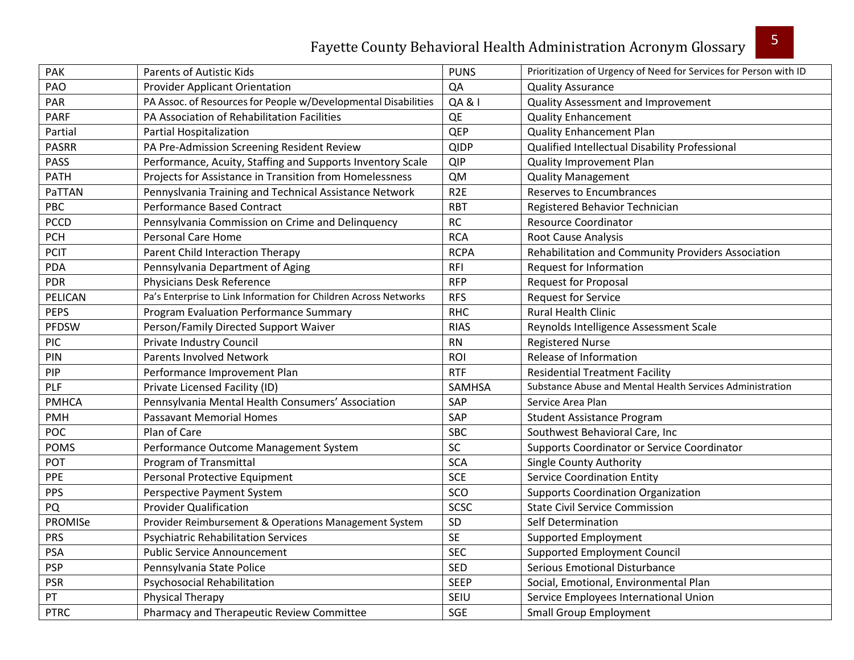| PAK          | <b>Parents of Autistic Kids</b>                                  | <b>PUNS</b>       | Prioritization of Urgency of Need for Services for Person with ID |
|--------------|------------------------------------------------------------------|-------------------|-------------------------------------------------------------------|
| PAO          | <b>Provider Applicant Orientation</b>                            | QA                | <b>Quality Assurance</b>                                          |
| PAR          | PA Assoc. of Resources for People w/Developmental Disabilities   | <b>QA &amp; I</b> | Quality Assessment and Improvement                                |
| <b>PARF</b>  | PA Association of Rehabilitation Facilities                      | QE                | <b>Quality Enhancement</b>                                        |
| Partial      | Partial Hospitalization                                          | QEP               | <b>Quality Enhancement Plan</b>                                   |
| <b>PASRR</b> | PA Pre-Admission Screening Resident Review                       | <b>QIDP</b>       | Qualified Intellectual Disability Professional                    |
| <b>PASS</b>  | Performance, Acuity, Staffing and Supports Inventory Scale       | <b>QIP</b>        | Quality Improvement Plan                                          |
| PATH         | Projects for Assistance in Transition from Homelessness          | <b>QM</b>         | <b>Quality Management</b>                                         |
| PaTTAN       | Pennyslvania Training and Technical Assistance Network           | R <sub>2E</sub>   | <b>Reserves to Encumbrances</b>                                   |
| PBC          | Performance Based Contract                                       | <b>RBT</b>        | Registered Behavior Technician                                    |
| <b>PCCD</b>  | Pennsylvania Commission on Crime and Delinquency                 | RC                | <b>Resource Coordinator</b>                                       |
| <b>PCH</b>   | <b>Personal Care Home</b>                                        | <b>RCA</b>        | <b>Root Cause Analysis</b>                                        |
| <b>PCIT</b>  | Parent Child Interaction Therapy                                 | <b>RCPA</b>       | Rehabilitation and Community Providers Association                |
| <b>PDA</b>   | Pennsylvania Department of Aging                                 | <b>RFI</b>        | Request for Information                                           |
| <b>PDR</b>   | Physicians Desk Reference                                        | <b>RFP</b>        | <b>Request for Proposal</b>                                       |
| PELICAN      | Pa's Enterprise to Link Information for Children Across Networks | <b>RFS</b>        | <b>Request for Service</b>                                        |
| <b>PEPS</b>  | <b>Program Evaluation Performance Summary</b>                    | <b>RHC</b>        | <b>Rural Health Clinic</b>                                        |
| PFDSW        | Person/Family Directed Support Waiver                            | <b>RIAS</b>       | Reynolds Intelligence Assessment Scale                            |
| <b>PIC</b>   | Private Industry Council                                         | <b>RN</b>         | <b>Registered Nurse</b>                                           |
| PIN          | <b>Parents Involved Network</b>                                  | ROI               | Release of Information                                            |
| PIP          | Performance Improvement Plan                                     | <b>RTF</b>        | <b>Residential Treatment Facility</b>                             |
| PLF          | Private Licensed Facility (ID)                                   | <b>SAMHSA</b>     | Substance Abuse and Mental Health Services Administration         |
| <b>PMHCA</b> | Pennsylvania Mental Health Consumers' Association                | SAP               | Service Area Plan                                                 |
| <b>PMH</b>   | <b>Passavant Memorial Homes</b>                                  | SAP               | <b>Student Assistance Program</b>                                 |
| <b>POC</b>   | Plan of Care                                                     | <b>SBC</b>        | Southwest Behavioral Care, Inc                                    |
| <b>POMS</b>  | Performance Outcome Management System                            | SC                | Supports Coordinator or Service Coordinator                       |
| POT          | Program of Transmittal                                           | <b>SCA</b>        | <b>Single County Authority</b>                                    |
| PPE          | Personal Protective Equipment                                    | <b>SCE</b>        | <b>Service Coordination Entity</b>                                |
| <b>PPS</b>   | Perspective Payment System                                       | SCO               | <b>Supports Coordination Organization</b>                         |
| PQ           | <b>Provider Qualification</b>                                    | <b>SCSC</b>       | <b>State Civil Service Commission</b>                             |
| PROMISe      | Provider Reimbursement & Operations Management System            | SD                | Self Determination                                                |
| <b>PRS</b>   | <b>Psychiatric Rehabilitation Services</b>                       | <b>SE</b>         | <b>Supported Employment</b>                                       |
| <b>PSA</b>   | <b>Public Service Announcement</b>                               | <b>SEC</b>        | <b>Supported Employment Council</b>                               |
| <b>PSP</b>   | Pennsylvania State Police                                        | <b>SED</b>        | <b>Serious Emotional Disturbance</b>                              |
| <b>PSR</b>   | Psychosocial Rehabilitation                                      | <b>SEEP</b>       | Social, Emotional, Environmental Plan                             |
| PT           | <b>Physical Therapy</b>                                          | SEIU              | Service Employees International Union                             |
| <b>PTRC</b>  | Pharmacy and Therapeutic Review Committee                        | SGE               | <b>Small Group Employment</b>                                     |